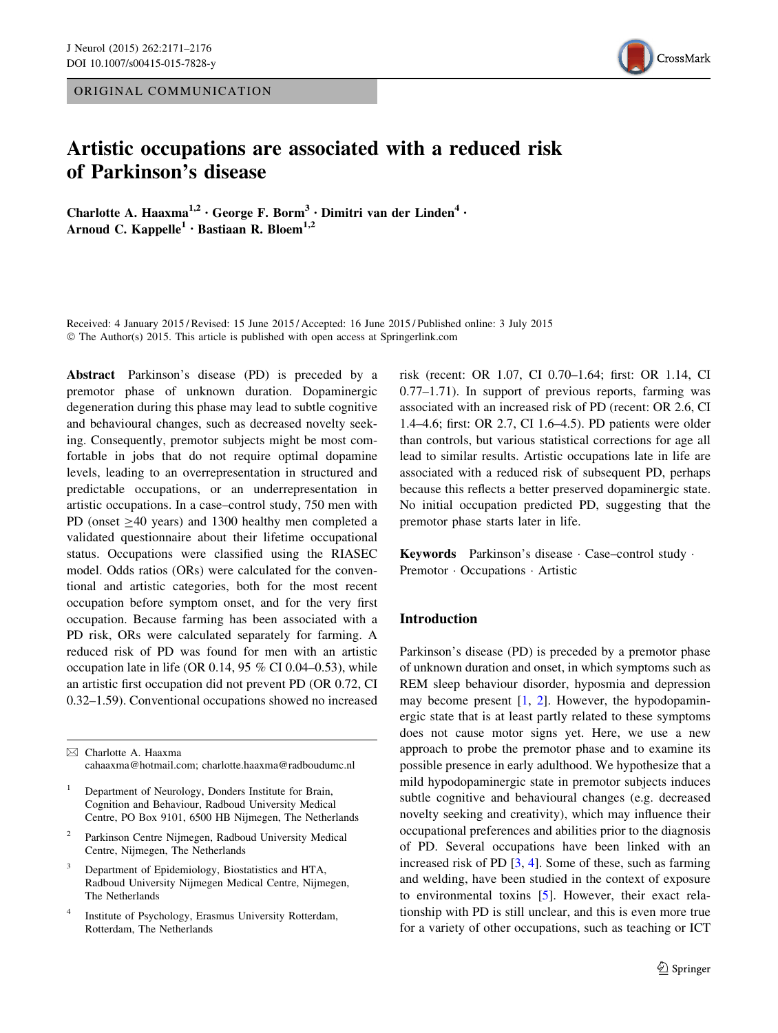ORIGINAL COMMUNICATION

# CrossMark

# Artistic occupations are associated with a reduced risk of Parkinson's disease

Charlotte A. Haaxma<sup>1,2</sup> · George F. Borm<sup>3</sup> · Dimitri van der Linden<sup>4</sup> · Arnoud C. Kappelle<sup>1</sup> · Bastiaan R. Bloem<sup>1,2</sup>

Received: 4 January 2015 / Revised: 15 June 2015 / Accepted: 16 June 2015 / Published online: 3 July 2015 © The Author(s) 2015. This article is published with open access at Springerlink.com

Abstract Parkinson's disease (PD) is preceded by a premotor phase of unknown duration. Dopaminergic degeneration during this phase may lead to subtle cognitive and behavioural changes, such as decreased novelty seeking. Consequently, premotor subjects might be most comfortable in jobs that do not require optimal dopamine levels, leading to an overrepresentation in structured and predictable occupations, or an underrepresentation in artistic occupations. In a case–control study, 750 men with PD (onset  $>40$  years) and 1300 healthy men completed a validated questionnaire about their lifetime occupational status. Occupations were classified using the RIASEC model. Odds ratios (ORs) were calculated for the conventional and artistic categories, both for the most recent occupation before symptom onset, and for the very first occupation. Because farming has been associated with a PD risk, ORs were calculated separately for farming. A reduced risk of PD was found for men with an artistic occupation late in life (OR 0.14, 95  $%$  CI 0.04–0.53), while an artistic first occupation did not prevent PD (OR 0.72, CI 0.32–1.59). Conventional occupations showed no increased

 $\boxtimes$  Charlotte A. Haaxma cahaaxma@hotmail.com; charlotte.haaxma@radboudumc.nl

- <sup>1</sup> Department of Neurology, Donders Institute for Brain, Cognition and Behaviour, Radboud University Medical Centre, PO Box 9101, 6500 HB Nijmegen, The Netherlands
- <sup>2</sup> Parkinson Centre Nijmegen, Radboud University Medical Centre, Nijmegen, The Netherlands
- Department of Epidemiology, Biostatistics and HTA, Radboud University Nijmegen Medical Centre, Nijmegen, The Netherlands
- Institute of Psychology, Erasmus University Rotterdam, Rotterdam, The Netherlands

risk (recent: OR 1.07, CI 0.70–1.64; first: OR 1.14, CI 0.77–1.71). In support of previous reports, farming was associated with an increased risk of PD (recent: OR 2.6, CI 1.4–4.6; first: OR 2.7, CI 1.6–4.5). PD patients were older than controls, but various statistical corrections for age all lead to similar results. Artistic occupations late in life are associated with a reduced risk of subsequent PD, perhaps because this reflects a better preserved dopaminergic state. No initial occupation predicted PD, suggesting that the premotor phase starts later in life.

Keywords Parkinson's disease · Case-control study · Premotor · Occupations · Artistic

#### Introduction

Parkinson's disease (PD) is preceded by a premotor phase of unknown duration and onset, in which symptoms such as REM sleep behaviour disorder, hyposmia and depression may become present  $[1, 2]$  $[1, 2]$  $[1, 2]$  $[1, 2]$ . However, the hypodopaminergic state that is at least partly related to these symptoms does not cause motor signs yet. Here, we use a new approach to probe the premotor phase and to examine its possible presence in early adulthood. We hypothesize that a mild hypodopaminergic state in premotor subjects induces subtle cognitive and behavioural changes (e.g. decreased novelty seeking and creativity), which may influence their occupational preferences and abilities prior to the diagnosis of PD. Several occupations have been linked with an increased risk of PD [\[3](#page-5-0), [4](#page-5-0)]. Some of these, such as farming and welding, have been studied in the context of exposure to environmental toxins [\[5](#page-5-0)]. However, their exact relationship with PD is still unclear, and this is even more true for a variety of other occupations, such as teaching or ICT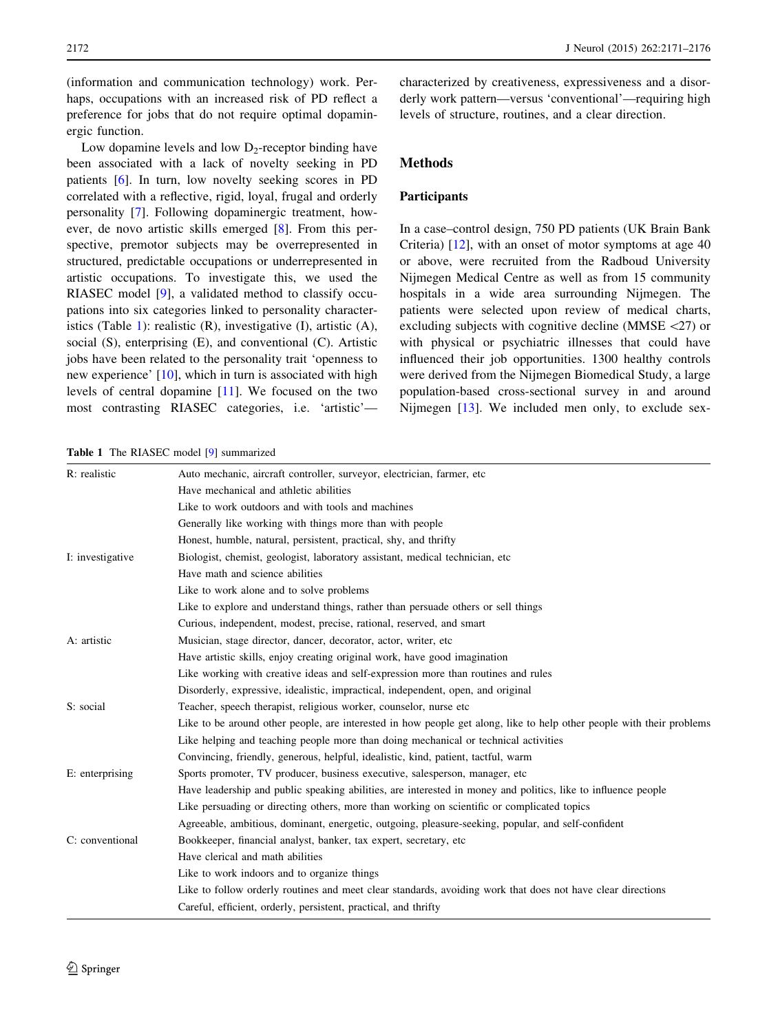(information and communication technology) work. Perhaps, occupations with an increased risk of PD reflect a preference for jobs that do not require optimal dopaminergic function.

Low dopamine levels and low  $D_2$ -receptor binding have been associated with a lack of novelty seeking in PD patients [[6\]](#page-5-0). In turn, low novelty seeking scores in PD correlated with a reflective, rigid, loyal, frugal and orderly personality [\[7](#page-5-0)]. Following dopaminergic treatment, however, de novo artistic skills emerged [[8\]](#page-5-0). From this perspective, premotor subjects may be overrepresented in structured, predictable occupations or underrepresented in artistic occupations. To investigate this, we used the RIASEC model [[9\]](#page-5-0), a validated method to classify occupations into six categories linked to personality characteristics (Table 1): realistic (R), investigative (I), artistic (A), social (S), enterprising (E), and conventional (C). Artistic jobs have been related to the personality trait 'openness to new experience' [\[10](#page-5-0)], which in turn is associated with high levels of central dopamine [[11\]](#page-5-0). We focused on the two most contrasting RIASEC categories, i.e. 'artistic'—

Table 1 The RIASEC model [[9](#page-5-0)] summarized

characterized by creativeness, expressiveness and a disorderly work pattern—versus 'conventional'—requiring high levels of structure, routines, and a clear direction.

## **Methods**

#### Participants

In a case–control design, 750 PD patients (UK Brain Bank Criteria) [[12\]](#page-5-0), with an onset of motor symptoms at age 40 or above, were recruited from the Radboud University Nijmegen Medical Centre as well as from 15 community hospitals in a wide area surrounding Nijmegen. The patients were selected upon review of medical charts, excluding subjects with cognitive decline (MMSE $\langle 27 \rangle$ ) or with physical or psychiatric illnesses that could have influenced their job opportunities. 1300 healthy controls were derived from the Nijmegen Biomedical Study, a large population-based cross-sectional survey in and around Nijmegen [[13\]](#page-5-0). We included men only, to exclude sex-

| R: realistic     | Auto mechanic, aircraft controller, surveyor, electrician, farmer, etc.                                               |  |  |  |
|------------------|-----------------------------------------------------------------------------------------------------------------------|--|--|--|
|                  | Have mechanical and athletic abilities                                                                                |  |  |  |
|                  | Like to work outdoors and with tools and machines                                                                     |  |  |  |
|                  | Generally like working with things more than with people                                                              |  |  |  |
|                  | Honest, humble, natural, persistent, practical, shy, and thrifty                                                      |  |  |  |
| I: investigative | Biologist, chemist, geologist, laboratory assistant, medical technician, etc.                                         |  |  |  |
|                  | Have math and science abilities                                                                                       |  |  |  |
|                  | Like to work alone and to solve problems                                                                              |  |  |  |
|                  | Like to explore and understand things, rather than persuade others or sell things                                     |  |  |  |
|                  | Curious, independent, modest, precise, rational, reserved, and smart                                                  |  |  |  |
| A: artistic      | Musician, stage director, dancer, decorator, actor, writer, etc.                                                      |  |  |  |
|                  | Have artistic skills, enjoy creating original work, have good imagination                                             |  |  |  |
|                  | Like working with creative ideas and self-expression more than routines and rules                                     |  |  |  |
|                  | Disorderly, expressive, idealistic, impractical, independent, open, and original                                      |  |  |  |
| S: social        | Teacher, speech therapist, religious worker, counselor, nurse etc.                                                    |  |  |  |
|                  | Like to be around other people, are interested in how people get along, like to help other people with their problems |  |  |  |
|                  | Like helping and teaching people more than doing mechanical or technical activities                                   |  |  |  |
|                  | Convincing, friendly, generous, helpful, idealistic, kind, patient, tactful, warm                                     |  |  |  |
| E: enterprising  | Sports promoter, TV producer, business executive, salesperson, manager, etc.                                          |  |  |  |
|                  | Have leadership and public speaking abilities, are interested in money and politics, like to influence people         |  |  |  |
|                  | Like persuading or directing others, more than working on scientific or complicated topics                            |  |  |  |
|                  | Agreeable, ambitious, dominant, energetic, outgoing, pleasure-seeking, popular, and self-confident                    |  |  |  |
| C: conventional  | Bookkeeper, financial analyst, banker, tax expert, secretary, etc.                                                    |  |  |  |
|                  | Have clerical and math abilities                                                                                      |  |  |  |
|                  | Like to work indoors and to organize things                                                                           |  |  |  |
|                  | Like to follow orderly routines and meet clear standards, avoiding work that does not have clear directions           |  |  |  |
|                  | Careful, efficient, orderly, persistent, practical, and thrifty                                                       |  |  |  |
|                  |                                                                                                                       |  |  |  |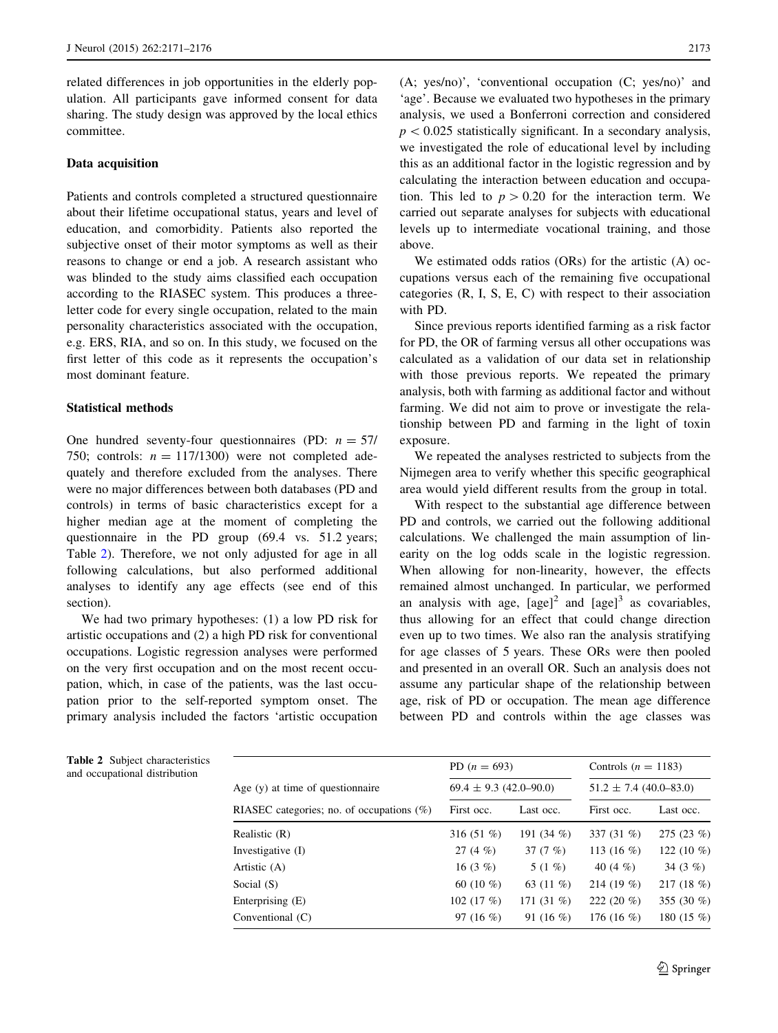<span id="page-2-0"></span>related differences in job opportunities in the elderly population. All participants gave informed consent for data sharing. The study design was approved by the local ethics committee.

#### Data acquisition

Patients and controls completed a structured questionnaire about their lifetime occupational status, years and level of education, and comorbidity. Patients also reported the subjective onset of their motor symptoms as well as their reasons to change or end a job. A research assistant who was blinded to the study aims classified each occupation according to the RIASEC system. This produces a threeletter code for every single occupation, related to the main personality characteristics associated with the occupation, e.g. ERS, RIA, and so on. In this study, we focused on the first letter of this code as it represents the occupation's most dominant feature.

#### Statistical methods

One hundred seventy-four questionnaires (PD:  $n = 57/$ 750; controls:  $n = 117/1300$  were not completed adequately and therefore excluded from the analyses. There were no major differences between both databases (PD and controls) in terms of basic characteristics except for a higher median age at the moment of completing the questionnaire in the PD group (69.4 vs. 51.2 years; Table 2). Therefore, we not only adjusted for age in all following calculations, but also performed additional analyses to identify any age effects (see end of this section).

We had two primary hypotheses: (1) a low PD risk for artistic occupations and (2) a high PD risk for conventional occupations. Logistic regression analyses were performed on the very first occupation and on the most recent occupation, which, in case of the patients, was the last occupation prior to the self-reported symptom onset. The primary analysis included the factors 'artistic occupation (A; yes/no)', 'conventional occupation (C; yes/no)' and 'age'. Because we evaluated two hypotheses in the primary analysis, we used a Bonferroni correction and considered  $p<0.025$  statistically significant. In a secondary analysis, we investigated the role of educational level by including this as an additional factor in the logistic regression and by calculating the interaction between education and occupation. This led to  $p > 0.20$  for the interaction term. We carried out separate analyses for subjects with educational levels up to intermediate vocational training, and those above.

We estimated odds ratios (ORs) for the artistic (A) occupations versus each of the remaining five occupational categories (R, I, S, E, C) with respect to their association with PD.

Since previous reports identified farming as a risk factor for PD, the OR of farming versus all other occupations was calculated as a validation of our data set in relationship with those previous reports. We repeated the primary analysis, both with farming as additional factor and without farming. We did not aim to prove or investigate the relationship between PD and farming in the light of toxin exposure.

We repeated the analyses restricted to subjects from the Nijmegen area to verify whether this specific geographical area would yield different results from the group in total.

With respect to the substantial age difference between PD and controls, we carried out the following additional calculations. We challenged the main assumption of linearity on the log odds scale in the logistic regression. When allowing for non-linearity, however, the effects remained almost unchanged. In particular, we performed an analysis with age,  $[age]^2$  and  $[age]^3$  as covariables, thus allowing for an effect that could change direction even up to two times. We also ran the analysis stratifying for age classes of 5 years. These ORs were then pooled and presented in an overall OR. Such an analysis does not assume any particular shape of the relationship between age, risk of PD or occupation. The mean age difference between PD and controls within the age classes was

|                                              | PD $(n = 693)$<br>$69.4 \pm 9.3$ (42.0-90.0) |              | Controls $(n = 1183)$<br>$51.2 \pm 7.4 \ (40.0 - 83.0)$ |               |
|----------------------------------------------|----------------------------------------------|--------------|---------------------------------------------------------|---------------|
| Age $(y)$ at time of question aire           |                                              |              |                                                         |               |
| RIASEC categories; no. of occupations $(\%)$ | First occ.                                   | Last occ.    | First occ.                                              | Last occ.     |
| Realistic $(R)$                              | 316 $(51\%)$                                 | 191 $(34\%)$ | 337 $(31\%)$                                            | 275(23%)      |
| Investigative (I)                            | 27 $(4 \%)$                                  | 37 $(7 \%)$  | 113 $(16 \%)$                                           | 122 $(10 \%)$ |
| Artistic (A)                                 | 16 $(3 \%)$                                  | $5(1\%)$     | 40 $(4\%$                                               | 34 $(3 \%)$   |
| Social $(S)$                                 | 60 $(10\%$                                   | 63 $(11\%)$  | 214 (19 $%$ )                                           | 217 $(18\%)$  |
| Enterprising (E)                             | 102 $(17 \%)$                                | 171 $(31\%)$ | 222 $(20\%$                                             | 355 $(30\%)$  |
| Conventional (C)                             | 97 $(16 \%)$                                 | 91 $(16 \%)$ | 176 $(16 \%)$                                           | 180 $(15 \%)$ |

Table 2 Subject characteristics and occupational distribution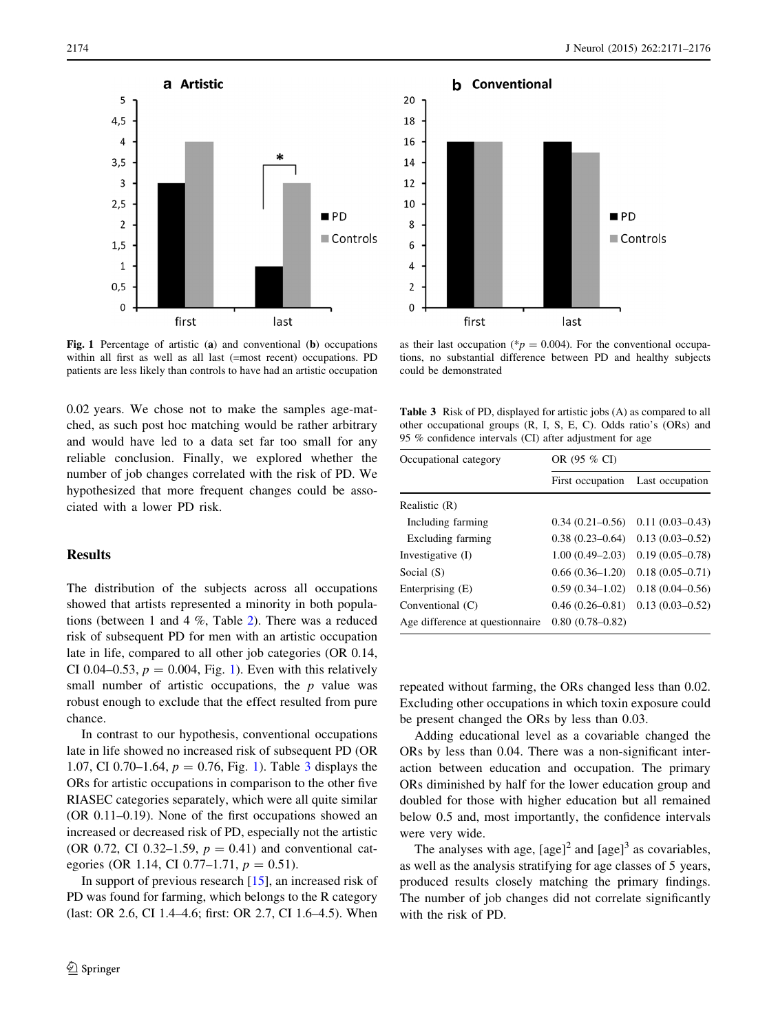

Fig. 1 Percentage of artistic (a) and conventional (b) occupations within all first as well as all last (=most recent) occupations. PD patients are less likely than controls to have had an artistic occupation

0.02 years. We chose not to make the samples age-matched, as such post hoc matching would be rather arbitrary and would have led to a data set far too small for any reliable conclusion. Finally, we explored whether the number of job changes correlated with the risk of PD. We hypothesized that more frequent changes could be associated with a lower PD risk.

## Results

The distribution of the subjects across all occupations showed that artists represented a minority in both populations (between 1 and 4 %, Table [2](#page-2-0)). There was a reduced risk of subsequent PD for men with an artistic occupation late in life, compared to all other job categories (OR 0.14, CI 0.04–0.53,  $p = 0.004$ , Fig. 1). Even with this relatively small number of artistic occupations, the  $p$  value was robust enough to exclude that the effect resulted from pure chance.

In contrast to our hypothesis, conventional occupations late in life showed no increased risk of subsequent PD (OR 1.07, CI 0.70–1.64,  $p = 0.76$ , Fig. 1). Table 3 displays the ORs for artistic occupations in comparison to the other five RIASEC categories separately, which were all quite similar (OR 0.11–0.19). None of the first occupations showed an increased or decreased risk of PD, especially not the artistic (OR 0.72, CI 0.32–1.59,  $p = 0.41$ ) and conventional categories (OR 1.14, CI 0.77–1.71,  $p = 0.51$ ).

In support of previous research [[15\]](#page-5-0), an increased risk of PD was found for farming, which belongs to the R category (last: OR 2.6, CI 1.4–4.6; first: OR 2.7, CI 1.6–4.5). When



as their last occupation (\* $p = 0.004$ ). For the conventional occupations, no substantial difference between PD and healthy subjects could be demonstrated

Table 3 Risk of PD, displayed for artistic jobs (A) as compared to all other occupational groups (R, I, S, E, C). Odds ratio's (ORs) and 95 % confidence intervals (CI) after adjustment for age

| Occupational category           | OR (95 % CI)        |                     |  |
|---------------------------------|---------------------|---------------------|--|
|                                 | First occupation    | Last occupation     |  |
| Realistic (R)                   |                     |                     |  |
| Including farming               | $0.34(0.21-0.56)$   | $0.11(0.03 - 0.43)$ |  |
| Excluding farming               | $0.38(0.23 - 0.64)$ | $0.13(0.03 - 0.52)$ |  |
| Investigative (I)               | $1.00(0.49-2.03)$   | $0.19(0.05 - 0.78)$ |  |
| Social $(S)$                    | $0.66(0.36-1.20)$   | $0.18(0.05 - 0.71)$ |  |
| Enterprising (E)                | $0.59(0.34 - 1.02)$ | $0.18(0.04 - 0.56)$ |  |
| Conventional (C)                | $0.46(0.26 - 0.81)$ | $0.13(0.03 - 0.52)$ |  |
| Age difference at questionnaire | $0.80(0.78 - 0.82)$ |                     |  |

repeated without farming, the ORs changed less than 0.02. Excluding other occupations in which toxin exposure could be present changed the ORs by less than 0.03.

Adding educational level as a covariable changed the ORs by less than 0.04. There was a non-significant interaction between education and occupation. The primary ORs diminished by half for the lower education group and doubled for those with higher education but all remained below 0.5 and, most importantly, the confidence intervals were very wide.

The analyses with age,  $[age]^2$  and  $[age]^3$  as covariables, as well as the analysis stratifying for age classes of 5 years, produced results closely matching the primary findings. The number of job changes did not correlate significantly with the risk of PD.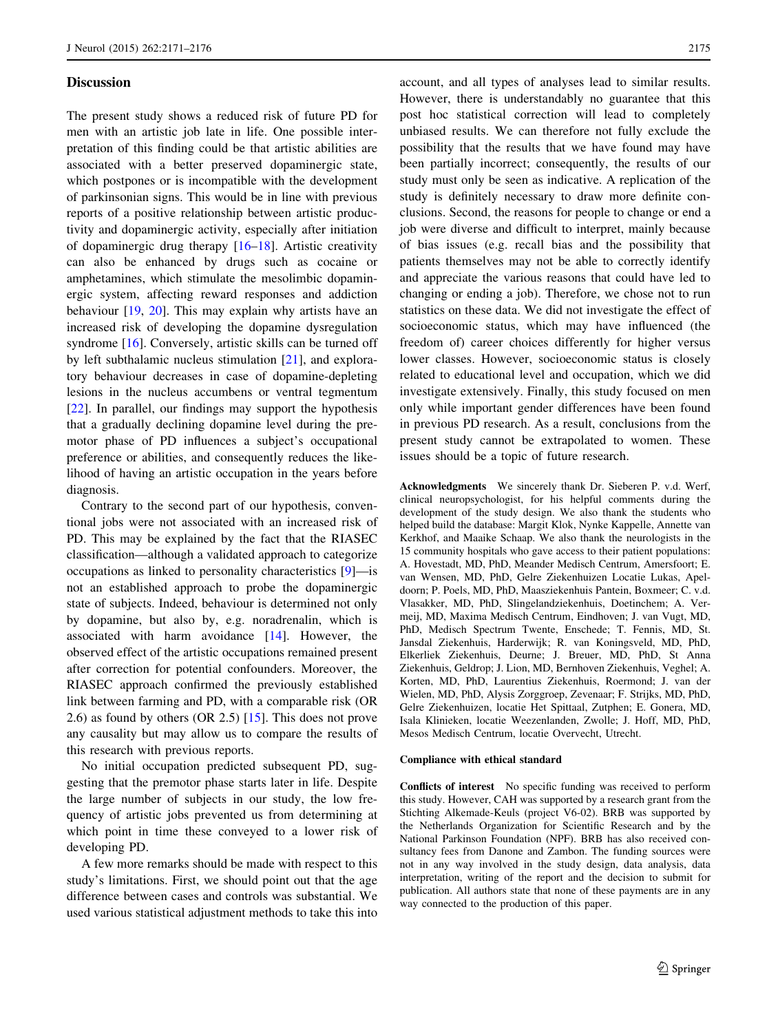#### **Discussion**

The present study shows a reduced risk of future PD for men with an artistic job late in life. One possible interpretation of this finding could be that artistic abilities are associated with a better preserved dopaminergic state, which postpones or is incompatible with the development of parkinsonian signs. This would be in line with previous reports of a positive relationship between artistic productivity and dopaminergic activity, especially after initiation of dopaminergic drug therapy  $[16–18]$  $[16–18]$ . Artistic creativity can also be enhanced by drugs such as cocaine or amphetamines, which stimulate the mesolimbic dopaminergic system, affecting reward responses and addiction behaviour [[19,](#page-5-0) [20](#page-5-0)]. This may explain why artists have an increased risk of developing the dopamine dysregulation syndrome [[16\]](#page-5-0). Conversely, artistic skills can be turned off by left subthalamic nucleus stimulation [[21\]](#page-5-0), and exploratory behaviour decreases in case of dopamine-depleting lesions in the nucleus accumbens or ventral tegmentum [\[22](#page-5-0)]. In parallel, our findings may support the hypothesis that a gradually declining dopamine level during the premotor phase of PD influences a subject's occupational preference or abilities, and consequently reduces the likelihood of having an artistic occupation in the years before diagnosis.

Contrary to the second part of our hypothesis, conventional jobs were not associated with an increased risk of PD. This may be explained by the fact that the RIASEC classification—although a validated approach to categorize occupations as linked to personality characteristics [\[9](#page-5-0)]—is not an established approach to probe the dopaminergic state of subjects. Indeed, behaviour is determined not only by dopamine, but also by, e.g. noradrenalin, which is associated with harm avoidance [\[14](#page-5-0)]. However, the observed effect of the artistic occupations remained present after correction for potential confounders. Moreover, the RIASEC approach confirmed the previously established link between farming and PD, with a comparable risk (OR 2.6) as found by others (OR 2.5) [[15\]](#page-5-0). This does not prove any causality but may allow us to compare the results of this research with previous reports.

No initial occupation predicted subsequent PD, suggesting that the premotor phase starts later in life. Despite the large number of subjects in our study, the low frequency of artistic jobs prevented us from determining at which point in time these conveyed to a lower risk of developing PD.

A few more remarks should be made with respect to this study's limitations. First, we should point out that the age difference between cases and controls was substantial. We used various statistical adjustment methods to take this into

account, and all types of analyses lead to similar results. However, there is understandably no guarantee that this post hoc statistical correction will lead to completely unbiased results. We can therefore not fully exclude the possibility that the results that we have found may have been partially incorrect; consequently, the results of our study must only be seen as indicative. A replication of the study is definitely necessary to draw more definite conclusions. Second, the reasons for people to change or end a job were diverse and difficult to interpret, mainly because of bias issues (e.g. recall bias and the possibility that patients themselves may not be able to correctly identify and appreciate the various reasons that could have led to changing or ending a job). Therefore, we chose not to run statistics on these data. We did not investigate the effect of socioeconomic status, which may have influenced (the freedom of) career choices differently for higher versus lower classes. However, socioeconomic status is closely related to educational level and occupation, which we did investigate extensively. Finally, this study focused on men only while important gender differences have been found in previous PD research. As a result, conclusions from the present study cannot be extrapolated to women. These issues should be a topic of future research.

Acknowledgments We sincerely thank Dr. Sieberen P. v.d. Werf, clinical neuropsychologist, for his helpful comments during the development of the study design. We also thank the students who helped build the database: Margit Klok, Nynke Kappelle, Annette van Kerkhof, and Maaike Schaap. We also thank the neurologists in the 15 community hospitals who gave access to their patient populations: A. Hovestadt, MD, PhD, Meander Medisch Centrum, Amersfoort; E. van Wensen, MD, PhD, Gelre Ziekenhuizen Locatie Lukas, Apeldoorn; P. Poels, MD, PhD, Maasziekenhuis Pantein, Boxmeer; C. v.d. Vlasakker, MD, PhD, Slingelandziekenhuis, Doetinchem; A. Vermeij, MD, Maxima Medisch Centrum, Eindhoven; J. van Vugt, MD, PhD, Medisch Spectrum Twente, Enschede; T. Fennis, MD, St. Jansdal Ziekenhuis, Harderwijk; R. van Koningsveld, MD, PhD, Elkerliek Ziekenhuis, Deurne; J. Breuer, MD, PhD, St Anna Ziekenhuis, Geldrop; J. Lion, MD, Bernhoven Ziekenhuis, Veghel; A. Korten, MD, PhD, Laurentius Ziekenhuis, Roermond; J. van der Wielen, MD, PhD, Alysis Zorggroep, Zevenaar; F. Strijks, MD, PhD, Gelre Ziekenhuizen, locatie Het Spittaal, Zutphen; E. Gonera, MD, Isala Klinieken, locatie Weezenlanden, Zwolle; J. Hoff, MD, PhD, Mesos Medisch Centrum, locatie Overvecht, Utrecht.

#### Compliance with ethical standard

Conflicts of interest No specific funding was received to perform this study. However, CAH was supported by a research grant from the Stichting Alkemade-Keuls (project V6-02). BRB was supported by the Netherlands Organization for Scientific Research and by the National Parkinson Foundation (NPF). BRB has also received consultancy fees from Danone and Zambon. The funding sources were not in any way involved in the study design, data analysis, data interpretation, writing of the report and the decision to submit for publication. All authors state that none of these payments are in any way connected to the production of this paper.